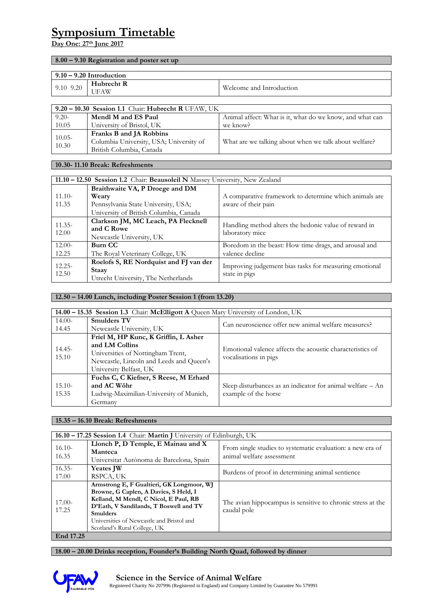# **Symposium Timetable**

# **Day One: 27th June 2017**

#### **8.00 – 9.10 Registration and poster set up**

| $9.10 - 9.20$ Introduction |                           |                          |
|----------------------------|---------------------------|--------------------------|
| 9.10 9.20                  | Hubrecht R<br><b>UFAW</b> | Welcome and Introduction |

| $9.20 - 10.30$ Session 1.1 Chair: Hubrecht R UFAW, UK |                                         |                                                          |
|-------------------------------------------------------|-----------------------------------------|----------------------------------------------------------|
| $9.20 -$                                              | Mendl M and ES Paul                     | Animal affect: What is it, what do we know, and what can |
| 10.05                                                 | University of Bristol, UK               | we know?                                                 |
| $10.05 -$<br>10.30                                    | Franks B and JA Robbins                 |                                                          |
|                                                       | Columbia University, USA; University of | What are we talking about when we talk about welfare?    |
|                                                       | British Columbia, Canada                |                                                          |

#### **10.30- 11.10 Break: Refreshments**

| 11.10 - 12.50 Session 1.2 Chair: Beausoleil N Massey University, New Zealand |                                                                                               |                                                                         |
|------------------------------------------------------------------------------|-----------------------------------------------------------------------------------------------|-------------------------------------------------------------------------|
|                                                                              | Braithwaite VA, P Droege and DM                                                               |                                                                         |
| $11.10-$                                                                     | Weary                                                                                         | A comparative framework to determine which animals are                  |
| 11.35                                                                        | Pennsylvania State University, USA;                                                           | aware of their pain                                                     |
|                                                                              | University of British Columbia, Canada                                                        |                                                                         |
| $11.35 -$                                                                    | Clarkson JM, MC Leach, PA Flecknell<br>and C Rowe                                             | Handling method alters the hedonic value of reward in                   |
| 12.00                                                                        | Newcastle University, UK                                                                      | laboratory mice                                                         |
| $12.00-$                                                                     | Burn CC                                                                                       | Boredom in the beast: How time drags, and arousal and                   |
| 12.25                                                                        | The Royal Veterinary College, UK                                                              | valence decline                                                         |
| $12.25 -$<br>12.50                                                           | Roelofs S, RE Nordquist and FJ van der<br><b>Staav</b><br>Utrecht University, The Netherlands | Improving judgement bias tasks for measuring emotional<br>state in pigs |

#### **12.50 – 14.00 Lunch, including Poster Session 1 (from 13.20)**

| 14.00 – 15.35 Session 1.3 Chair: McElligott A Queen Mary University of London, UK |                                          |                                                                                    |
|-----------------------------------------------------------------------------------|------------------------------------------|------------------------------------------------------------------------------------|
| $14.00-$                                                                          | <b>Smulders TV</b>                       | Can neuroscience offer new animal welfare measures?                                |
| 14.45                                                                             | Newcastle University, UK                 |                                                                                    |
|                                                                                   | Friel M, HP Kunc, K Griffin, L Asher     |                                                                                    |
| $14.45 -$<br>15.10                                                                | and LM Collins                           | Emotional valence affects the acoustic characteristics of<br>vocalisations in pigs |
|                                                                                   | Universities of Nottingham Trent,        |                                                                                    |
|                                                                                   | Newcastle, Lincoln and Leeds and Queen's |                                                                                    |
|                                                                                   | University Belfast, UK                   |                                                                                    |
|                                                                                   | Fuchs C, C Kiefner, S Reese, M Erhard    |                                                                                    |
| $15.10-$                                                                          | and AC Wöhr                              | Sleep disturbances as an indicator for animal welfare $-$ An                       |
| 15.35                                                                             | Ludwig-Maximilian-University of Munich,  | example of the horse                                                               |
|                                                                                   | Germany                                  |                                                                                    |

#### **15.35 – 16.10 Break: Refreshments**

| 16.10 – 17.25 Session 1.4 Chair: Martin J University of Edinburgh, UK |                                                                                                                                                                                                                                                                       |                                                                                         |
|-----------------------------------------------------------------------|-----------------------------------------------------------------------------------------------------------------------------------------------------------------------------------------------------------------------------------------------------------------------|-----------------------------------------------------------------------------------------|
| $16.10-$<br>16.35                                                     | Llonch P, D Temple, E Mainau and X<br>Manteca<br>Universitat Autònoma de Barcelona, Spain                                                                                                                                                                             | From single studies to systematic evaluation: a new era of<br>animal welfare assessment |
| $16.35 -$<br>17.00                                                    | <b>Yeates JW</b><br>RSPCA, UK                                                                                                                                                                                                                                         | Burdens of proof in determining animal sentience                                        |
| $17.00-$<br>17.25                                                     | Armstrong E, F Gualtieri, GK Longmoor, WJ<br>Browne, G Caplen, A Davies, S Held, I<br>Kelland, M Mendl, C Nicol, E Paul, RB<br>D'Eath, V Sandilands, T Boswell and TV<br><b>Smulders</b><br>Universities of Newcastle and Bristol and<br>Scotland's Rural College, UK | The avian hippocampus is sensitive to chronic stress at the<br>caudal pole              |
| End 17.25                                                             |                                                                                                                                                                                                                                                                       |                                                                                         |

**18.00 – 20.00 Drinks reception, Founder's Building North Quad, followed by dinner**

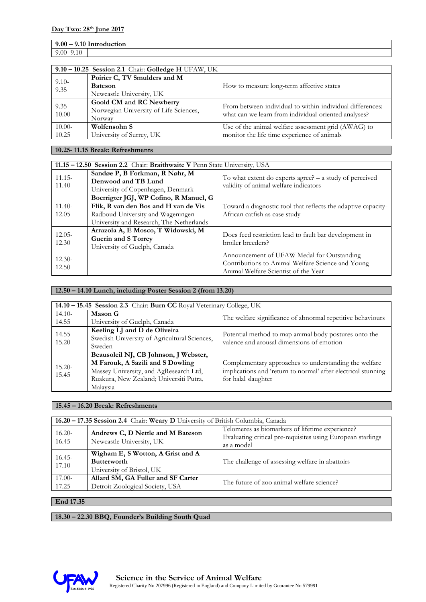| $9.00 - 9.10$ J<br>' Introduction                   |  |
|-----------------------------------------------------|--|
| 0 <sup>0</sup><br>2.IU<br>$\cdot \cdot \circ \circ$ |  |

| 9.10 - 10.25 Session 2.1 Chair: Golledge H UFAW, UK |                                                                              |                                                                                                                   |
|-----------------------------------------------------|------------------------------------------------------------------------------|-------------------------------------------------------------------------------------------------------------------|
| $9.10-$<br>9.35                                     | Poirier C, TV Smulders and M<br><b>Bateson</b><br>Newcastle University, UK   | How to measure long-term affective states                                                                         |
| $9.35 -$<br>10.00                                   | Goold CM and RC Newberry<br>Norwegian University of Life Sciences,<br>Norway | From between-individual to within-individual differences:<br>what can we learn from individual-oriented analyses? |
| $10.00-$<br>10.25                                   | Wolfensohn S<br>University of Surrey, UK                                     | Use of the animal welfare assessment grid (AWAG) to<br>monitor the life time experience of animals                |

#### **10.25- 11.15 Break: Refreshments**

|                    | 11.15 – 12.50 Session 2.2 Chair: Braithwaite V Penn State University, USA                                                                                       |                                                                                                                                         |  |
|--------------------|-----------------------------------------------------------------------------------------------------------------------------------------------------------------|-----------------------------------------------------------------------------------------------------------------------------------------|--|
| $11.15 -$<br>11.40 | Sandøe P, B Forkman, R Nøhr, M<br>Denwood and TB Lund<br>University of Copenhagen, Denmark                                                                      | To what extent do experts agree? $-$ a study of perceived<br>validity of animal welfare indicators                                      |  |
| $11.40-$<br>12.05  | Boerrigter JGJ, WP Cofino, R Manuel, G<br>Flik, R van den Bos and H van de Vis<br>Radboud University and Wageningen<br>University and Research, The Netherlands | Toward a diagnostic tool that reflects the adaptive capacity-<br>African catfish as case study                                          |  |
| $12.05 -$<br>12.30 | Arrazola A, E Mosco, T Widowski, M<br>Guerin and S Torrey<br>University of Guelph, Canada                                                                       | Does feed restriction lead to fault bar development in<br>broiler breeders?                                                             |  |
| $12.30-$<br>12.50  |                                                                                                                                                                 | Announcement of UFAW Medal for Outstanding<br>Contributions to Animal Welfare Science and Young<br>Animal Welfare Scientist of the Year |  |

# **12.50 – 14.10 Lunch, including Poster Session 2 (from 13.20)**

|                    | 14.10 - 15.45 Session 2.3 Chair: Burn CC Royal Veterinary College, UK                                                                                                      |                                                                                                                                               |  |
|--------------------|----------------------------------------------------------------------------------------------------------------------------------------------------------------------------|-----------------------------------------------------------------------------------------------------------------------------------------------|--|
| $14.10-$           | Mason G                                                                                                                                                                    | The welfare significance of abnormal repetitive behaviours                                                                                    |  |
| 14.55              | University of Guelph, Canada                                                                                                                                               |                                                                                                                                               |  |
| $14.55 -$<br>15.20 | Keeling LJ and D de Oliveira<br>Swedish University of Agricultural Sciences,<br>Sweden                                                                                     | Potential method to map animal body postures onto the<br>valence and arousal dimensions of emotion                                            |  |
| $15.20 -$<br>15.45 | Beausoleil NJ, CB Johnson, J Webster,<br>M Farouk, A Sazili and S Dowling<br>Massey University, and AgResearch Ltd,<br>Ruakura, New Zealand; Universiti Putra,<br>Malaysia | Complementary approaches to understanding the welfare<br>implications and 'return to normal' after electrical stunning<br>for halal slaughter |  |

#### **15.45 – 16.20 Break: Refreshments**

| 16.20 - 17.35 Session 2.4 Chair: Weary D University of British Columbia, Canada |                                                                                      |                                                                                                                              |
|---------------------------------------------------------------------------------|--------------------------------------------------------------------------------------|------------------------------------------------------------------------------------------------------------------------------|
| $16.20 -$<br>16.45                                                              | Andrews C, D Nettle and M Bateson<br>Newcastle University, UK                        | Telomeres as biomarkers of lifetime experience?<br>Evaluating critical pre-requisites using European starlings<br>as a model |
| $16.45 -$<br>17.10                                                              | Wigham E, S Wotton, A Grist and A<br><b>Butterworth</b><br>University of Bristol, UK | The challenge of assessing welfare in abattoirs                                                                              |
| $17.00-$<br>17.25                                                               | Allard SM, GA Fuller and SF Carter<br>Detroit Zoological Society, USA                | The future of zoo animal welfare science?                                                                                    |

## **End 17.35**

**18.30 – 22.30 BBQ, Founder's Building South Quad**